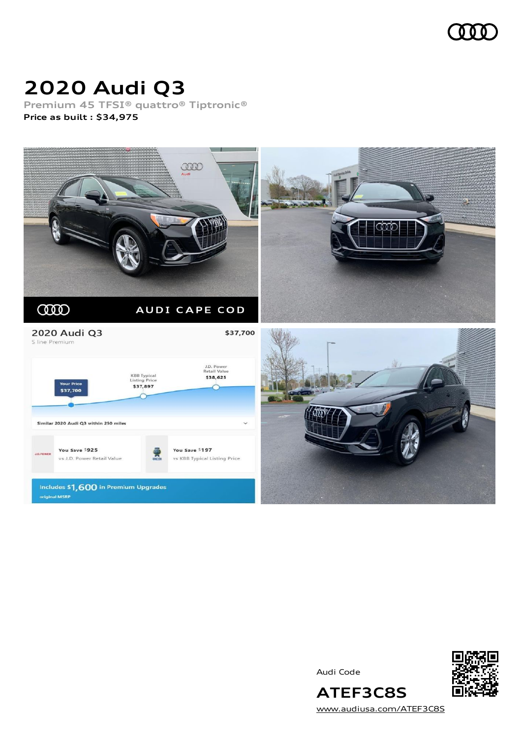

### **2020 Audi Q3**

**Premium 45 TFSI® quattro® Tiptronic® Price as built [:](#page-10-0) \$34,975**



Audi Code



[www.audiusa.com/ATEF3C8S](https://www.audiusa.com/ATEF3C8S)

**ATEF3C8S**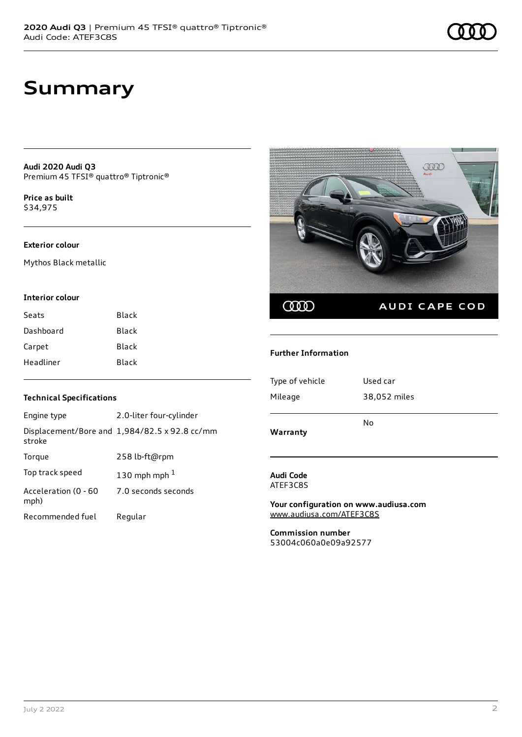### **Summary**

**Audi 2020 Audi Q3** Premium 45 TFSI® quattro® Tiptronic®

**Price as buil[t](#page-10-0)** \$34,975

#### **Exterior colour**

Mythos Black metallic

#### **Interior colour**

| Seats     | <b>Black</b> |
|-----------|--------------|
| Dashboard | Black        |
| Carpet    | <b>Black</b> |
| Headliner | Black        |

# Œ COO AUDI CAPE COD

#### **Further Information**

| Type of vehicle | Used car     |
|-----------------|--------------|
| Mileage         | 38,052 miles |
|                 |              |
| Warranty        | No           |

**Audi Code** ATEF3C8S

**Your configuration on www.audiusa.com** [www.audiusa.com/ATEF3C8S](https://www.audiusa.com/ATEF3C8S)

**Commission number** 53004c060a0e09a92577

#### **Technical Specifications**

| Engine type                  | 2.0-liter four-cylinder                       |
|------------------------------|-----------------------------------------------|
| stroke                       | Displacement/Bore and 1,984/82.5 x 92.8 cc/mm |
| Torque                       | 258 lb-ft@rpm                                 |
| Top track speed              | 130 mph mph $1$                               |
| Acceleration (0 - 60<br>mph) | 7.0 seconds seconds                           |
| Recommended fuel             | Regular                                       |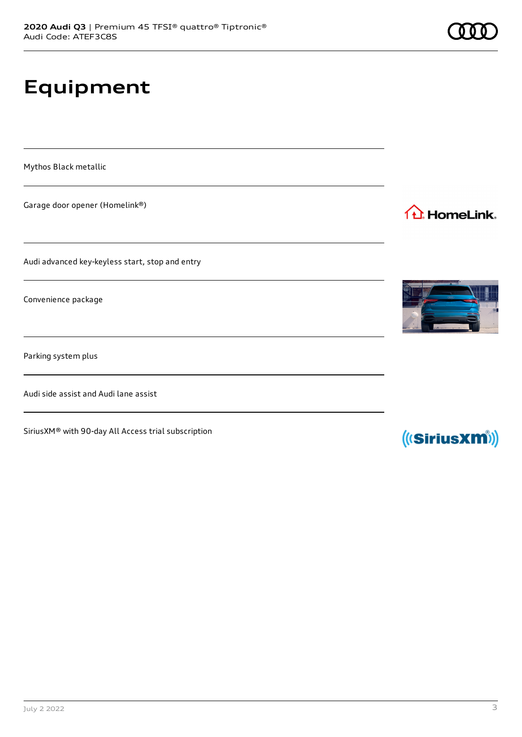## **Equipment**

Mythos Black metallic

Garage door opener (Homelink®)

Audi advanced key-keyless start, stop and entry

Convenience package

Parking system plus

Audi side assist and Audi lane assist

SiriusXM® with 90-day All Access trial subscription



1<sup>1</sup> HomeLink.



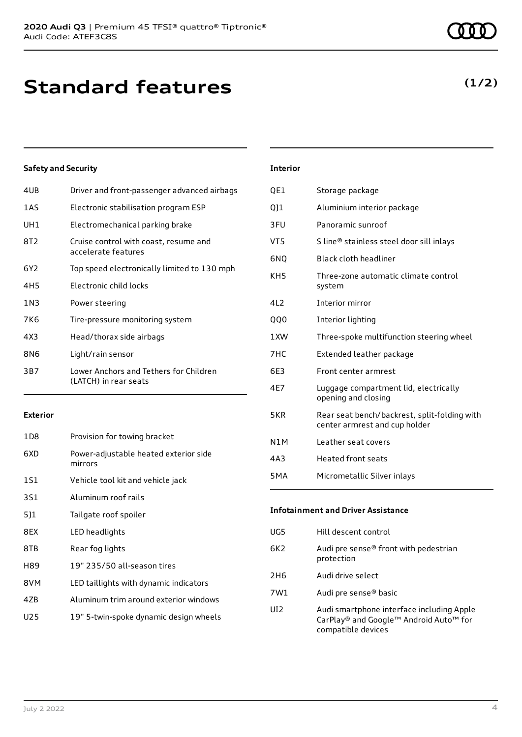#### **Safety and Security**

| 4UB | Driver and front-passenger advanced airbags                     |
|-----|-----------------------------------------------------------------|
| 1AS | Electronic stabilisation program ESP                            |
| UH1 | Electromechanical parking brake                                 |
| 8T2 | Cruise control with coast, resume and<br>accelerate features    |
| 6Y2 | Top speed electronically limited to 130 mph                     |
| 4H5 | Electronic child locks                                          |
| 1N3 | Power steering                                                  |
| 7K6 | Tire-pressure monitoring system                                 |
| 4X3 | Head/thorax side airbags                                        |
| 8N6 | Light/rain sensor                                               |
| 3B7 | Lower Anchors and Tethers for Children<br>(LATCH) in rear seats |
|     |                                                                 |

#### **Exterior**

| 1D <sub>8</sub> | Provision for towing bracket                     |
|-----------------|--------------------------------------------------|
| 6XD             | Power-adjustable heated exterior side<br>mirrors |
| 1S1             | Vehicle tool kit and vehicle jack                |
| 3S1             | Aluminum roof rails                              |
| 511             | Tailgate roof spoiler                            |
| 8EX             | LED headlights                                   |
| 8TB             | Rear fog lights                                  |
| H89             | 19" 235/50 all-season tires                      |
| 8VM             | LED taillights with dynamic indicators           |
| 47B             | Aluminum trim around exterior windows            |
| U25             | 19" 5-twin-spoke dynamic design wheels           |
|                 |                                                  |

#### **Interior**

| QE1              | Storage package                                                               |
|------------------|-------------------------------------------------------------------------------|
| QJ1              | Aluminium interior package                                                    |
| 3FU              | Panoramic sunroof                                                             |
| VT5              | S line® stainless steel door sill inlays                                      |
| 6NQ              | Black cloth headliner                                                         |
| KH5              | Three-zone automatic climate control<br>system                                |
| 4L2              | Interior mirror                                                               |
| <b>QQ0</b>       | Interior lighting                                                             |
| 1 XW             | Three-spoke multifunction steering wheel                                      |
| 7HC              | Extended leather package                                                      |
| 6E3              | Front center armrest                                                          |
| 4E7              | Luggage compartment lid, electrically<br>opening and closing                  |
| 5KR              | Rear seat bench/backrest, split-folding with<br>center armrest and cup holder |
| N <sub>1</sub> M | Leather seat covers                                                           |
| 4A3              | <b>Heated front seats</b>                                                     |
| 5 <sub>M</sub> A | Micrometallic Silver inlays                                                   |

### **Infotainment and Driver Assistance** UG5 Hill descent control 6K2 Audi pre sense® front with pedestrian protection 2H6 Audi drive select 7W1 Audi pre sense® basic UI2 Audi smartphone interface including Apple CarPlay® and Google™ Android Auto™ for compatible devices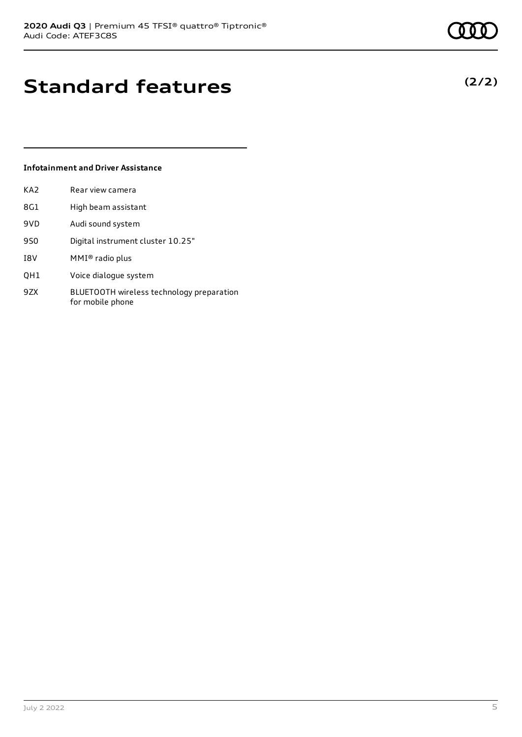**(2/2)**

### **Standard features**

#### **Infotainment and Driver Assistance**

| KA2 | Rear view camera                  |
|-----|-----------------------------------|
| 8G1 | High beam assistant               |
| 9VD | Audi sound system                 |
| 9S0 | Digital instrument cluster 10.25" |
| I8V | $MMI®$ radio plus                 |
|     |                                   |

- QH1 Voice dialogue system
- 9ZX BLUETOOTH wireless technology preparation for mobile phone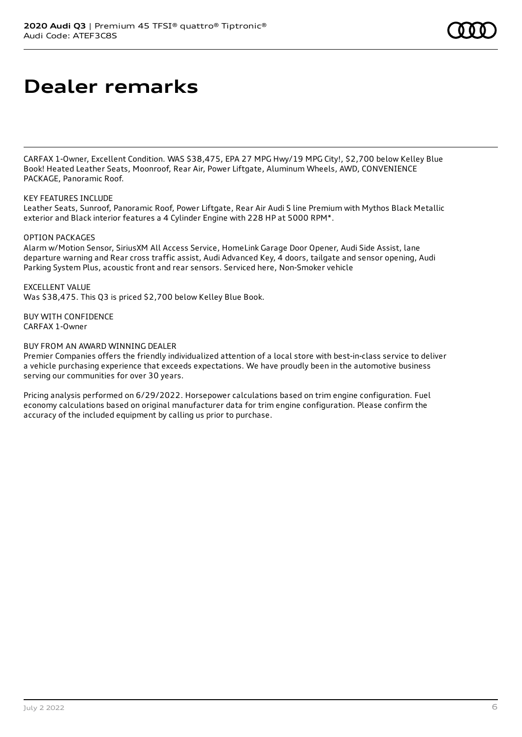### **Dealer remarks**

CARFAX 1-Owner, Excellent Condition. WAS \$38,475, EPA 27 MPG Hwy/19 MPG City!, \$2,700 below Kelley Blue Book! Heated Leather Seats, Moonroof, Rear Air, Power Liftgate, Aluminum Wheels, AWD, CONVENIENCE PACKAGE, Panoramic Roof.

#### KEY FEATURES INCLUDE

Leather Seats, Sunroof, Panoramic Roof, Power Liftgate, Rear Air Audi S line Premium with Mythos Black Metallic exterior and Black interior features a 4 Cylinder Engine with 228 HP at 5000 RPM\*.

#### OPTION PACKAGES

Alarm w/Motion Sensor, SiriusXM All Access Service, HomeLink Garage Door Opener, Audi Side Assist, lane departure warning and Rear cross traffic assist, Audi Advanced Key, 4 doors, tailgate and sensor opening, Audi Parking System Plus, acoustic front and rear sensors. Serviced here, Non-Smoker vehicle

EXCELLENT VALUE Was \$38,475. This Q3 is priced \$2,700 below Kelley Blue Book.

BUY WITH CONFIDENCE CARFAX 1-Owner

#### BUY FROM AN AWARD WINNING DEALER

Premier Companies offers the friendly individualized attention of a local store with best-in-class service to deliver a vehicle purchasing experience that exceeds expectations. We have proudly been in the automotive business serving our communities for over 30 years.

Pricing analysis performed on 6/29/2022. Horsepower calculations based on trim engine configuration. Fuel economy calculations based on original manufacturer data for trim engine configuration. Please confirm the accuracy of the included equipment by calling us prior to purchase.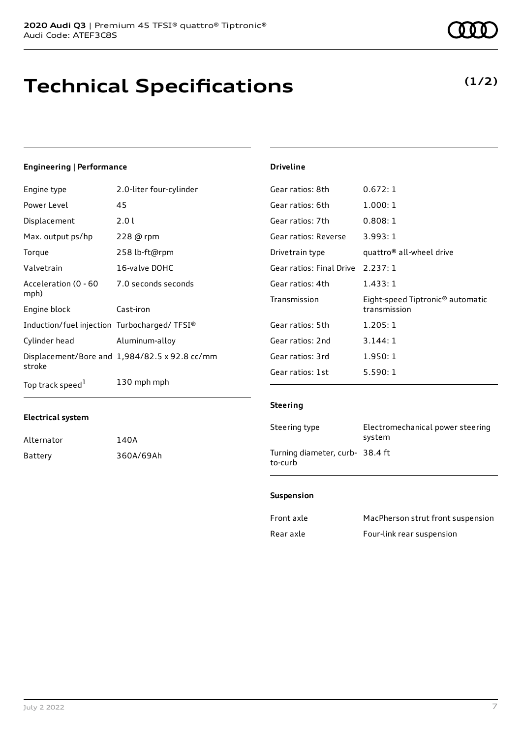### **Technical Specifications**

**(1/2)**

#### **Engineering | Performance**

| Engine type                                 | 2.0-liter four-cylinder                       | Gear ratios: 8th        |
|---------------------------------------------|-----------------------------------------------|-------------------------|
| Power Level                                 | 45                                            | Gear ratios: 6th        |
| Displacement                                | 2.0 l                                         | Gear ratios: 7th        |
| Max. output ps/hp                           | 228 @ rpm                                     | Gear ratios: Reverse    |
| Torque                                      | 258 lb-ft@rpm                                 | Drivetrain type         |
| Valvetrain                                  | 16-valve DOHC                                 | Gear ratios: Final Driv |
| Acceleration (0 - 60                        | 7.0 seconds seconds                           | Gear ratios: 4th        |
| mph)                                        |                                               | Transmission            |
| Engine block                                | Cast-iron                                     |                         |
| Induction/fuel injection Turbocharged/TFSI® |                                               | Gear ratios: 5th        |
| Cylinder head                               | Aluminum-alloy                                | Gear ratios: 2nd        |
|                                             | Displacement/Bore and 1,984/82.5 x 92.8 cc/mm | Gear ratios: 3rd        |
| stroke                                      |                                               | Gear ratios: 1st        |
| Top track speed <sup>1</sup>                | 130 mph mph                                   |                         |

#### **Electrical system**

| Alternator | 140A      |
|------------|-----------|
| Battery    | 360A/69Ah |

#### **Driveline**

| 0.672:1                                          |
|--------------------------------------------------|
| 1.000:1                                          |
| 0.808:1                                          |
| 3.993:1                                          |
| quattro® all-wheel drive                         |
| Gear ratios: Final Drive 2.237: 1                |
| 1.433:1                                          |
| Eight-speed Tiptronic® automatic<br>transmission |
| 1.205:1                                          |
| 3.144:1                                          |
| 1.950:1                                          |
| 5.590:1                                          |
|                                                  |

#### **Steering**

| Steering type                              | Electromechanical power steering<br>system |
|--------------------------------------------|--------------------------------------------|
| Turning diameter, curb- 38.4 ft<br>to-curb |                                            |

#### **Suspension**

| Front axle | MacPherson strut front suspension |
|------------|-----------------------------------|
| Rear axle  | Four-link rear suspension         |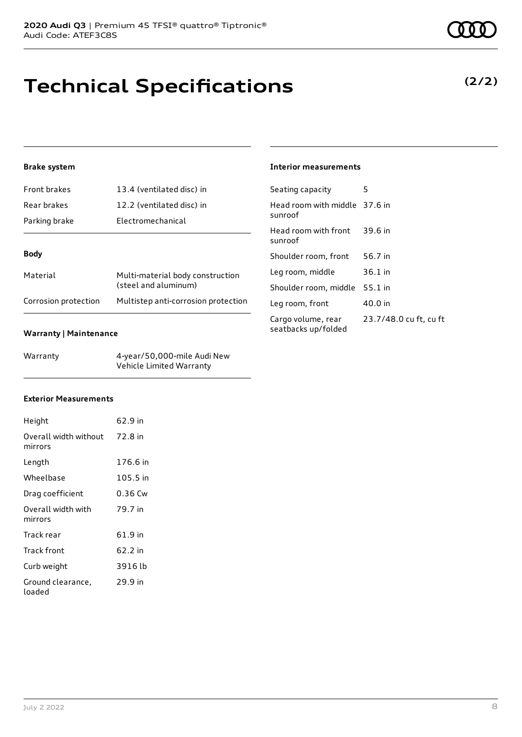## **Technical Specifications**

#### **Brake system**

| Front brakes  | 13.4 (ventilated disc) in                                |  |
|---------------|----------------------------------------------------------|--|
| Rear brakes   | 12.2 (ventilated disc) in                                |  |
| Parking brake | Electromechanical                                        |  |
|               |                                                          |  |
| <b>Body</b>   |                                                          |  |
| Material      | Multi-material body construction<br>(steel and aluminum) |  |
|               |                                                          |  |

#### **Warranty | Maintenance**

| Warranty | 4-year/50,000-mile Audi New |
|----------|-----------------------------|
|          | Vehicle Limited Warranty    |

#### **Interior measurements**

| Seating capacity                          | 5                      |
|-------------------------------------------|------------------------|
| Head room with middle 37.6 in<br>sunroof  |                        |
| Head room with front 39.6 in<br>sunroof   |                        |
| Shoulder room, front                      | 56.7 in                |
| Leg room, middle                          | 36.1 in                |
| Shoulder room, middle                     | 55.1 in                |
| Leg room, front                           | 40.0 in                |
| Cargo volume, rear<br>seatbacks up/folded | 23.7/48.0 cu ft, cu ft |

#### **Exterior Measurements**

| Height                                   | 62.9 in  |
|------------------------------------------|----------|
| Overall width without 72.8 in<br>mirrors |          |
| Length                                   | 176.6 in |
| Wheelbase                                | 105.5 in |
| Drag coefficient                         | 0.36 Cw  |
| Overall width with<br>mirrors            | 79.7 in  |
| Track rear                               | 61.9 in  |
| Track front                              | 62.2 in  |
| Curb weight                              | 3916 lb  |
| Ground clearance,<br>loaded              | 29.9 in  |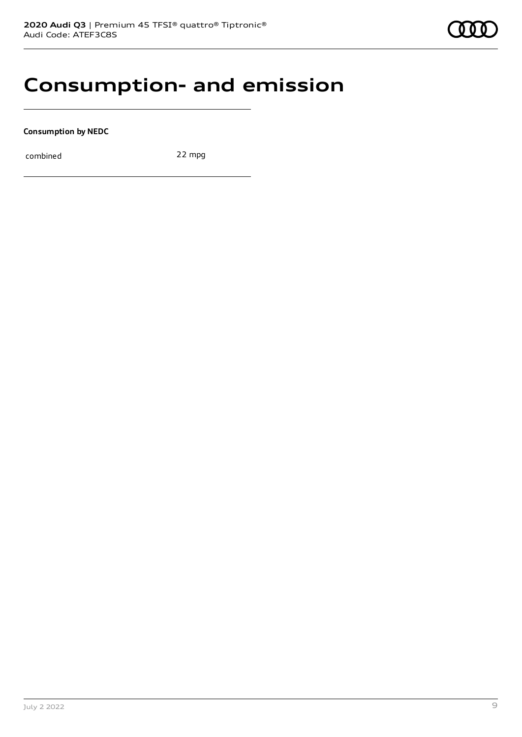### **Consumption- and emission**

**Consumption by NEDC**

combined 22 mpg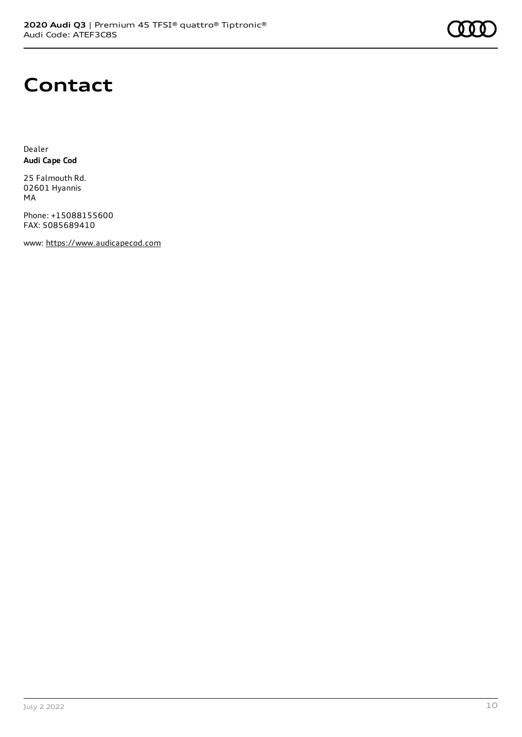

### **Contact**

Dealer **Audi Cape Cod**

25 Falmouth Rd. 02601 Hyannis MA

Phone: +15088155600 FAX: 5085689410

www: [https://www.audicapecod.com](https://www.audicapecod.com/)